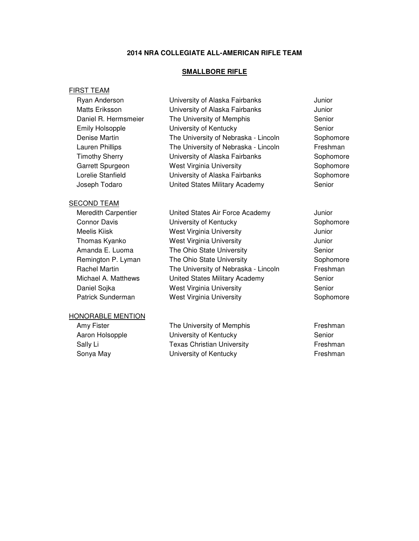### **2014 NRA COLLEGIATE ALL-AMERICAN RIFLE TEAM**

### **SMALLBORE RIFLE**

### FIRST TEAM

| Ryan Anderson          | University of Alaska Fairbanks       | Junior    |
|------------------------|--------------------------------------|-----------|
| Matts Eriksson         | University of Alaska Fairbanks       | Junior    |
| Daniel R. Hermsmeier   | The University of Memphis            | Senior    |
| <b>Emily Holsopple</b> | University of Kentucky               | Senior    |
| Denise Martin          | The University of Nebraska - Lincoln | Sophomore |
| Lauren Phillips        | The University of Nebraska - Lincoln | Freshman  |
| <b>Timothy Sherry</b>  | University of Alaska Fairbanks       | Sophomore |
| Garrett Spurgeon       | <b>West Virginia University</b>      | Sophomore |
| Lorelie Stanfield      | University of Alaska Fairbanks       | Sophomore |
| Joseph Todaro          | United States Military Academy       | Senior    |
|                        |                                      |           |

### SECOND TEAM

| Meredith Carpentier | United States Air Force Academy      | Junior |
|---------------------|--------------------------------------|--------|
| <b>Connor Davis</b> | University of Kentucky               | Sopho  |
| Meelis Kiisk        | <b>West Virginia University</b>      | Junior |
| Thomas Kyanko       | <b>West Virginia University</b>      | Junior |
| Amanda E. Luoma     | The Ohio State University            | Senior |
| Remington P. Lyman  | The Ohio State University            | Sopho  |
| Rachel Martin       | The University of Nebraska - Lincoln | Freshr |
| Michael A. Matthews | United States Military Academy       | Senior |
| Daniel Sojka        | <b>West Virginia University</b>      | Senior |
| Patrick Sunderman   | <b>West Virginia University</b>      | Sopho  |

### HONORABLE MENTION

Amy Fister The University of Memphis Freshman Aaron Holsopple **Senior** University of Kentucky **Senior** Senior Sally Li **Texas Christian University Freshman** Sonya May **Sonya May** University of Kentucky **Freshman** 

University of Kentucky Sophomore West Virginia University **West Virginia University** Junior West Virginia University **West Virginia University** Junior The Ohio State University Senior The Ohio State University **Sophomore** Sophomore The University of Nebraska - Lincoln Freshman United States Military Academy Senior West Virginia University **Senior** Senior West Virginia University **Sophomore** Sophomore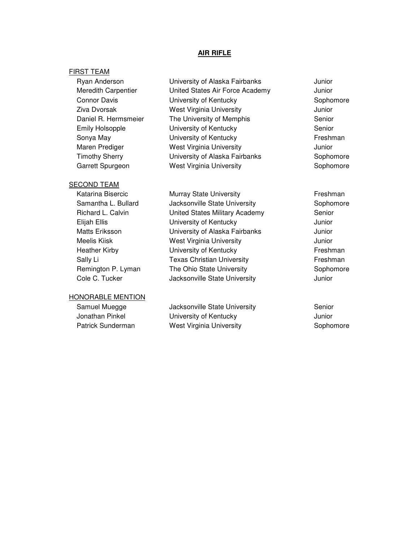### **AIR RIFLE**

### FIRST TEAM

### SECOND TEAM

### HONORABLE MENTION

Ryan Anderson **Iniversity of Alaska Fairbanks** Junior Meredith Carpentier **United States Air Force Academy** Junior Connor Davis **Connor Connor Connor Connor Connor** Connor Connor Connor Connor Connor Connor Connor Connor Connor Connor Connor Connor Connor Connor Connor Connor Connor Connor Connor Connor Connor Connor Connor Connor Conn Ziva Dvorsak West Virginia University Junior Daniel R. Hermsmeier The University of Memphis Senior Emily Holsopple **Senior** University of Kentucky **Senior** Senior Sonya May **Example 20** University of Kentucky **Figure 1** Freshman Maren Prediger **West Virginia University** Maren Prediger Timothy Sherry University of Alaska Fairbanks Sophomore Garrett Spurgeon **West Virginia University Sophomore** Sophomore

Katarina Bisercic **Murray State University Figure 12** Freshman Samantha L. Bullard **Jacksonville State University** Sophomore Richard L. Calvin **Example 3** United States Military Academy **Senior** Senior Elijah Ellis University of Kentucky Junior Matts Eriksson University of Alaska Fairbanks Junior Meelis Kiisk West Virginia University Junior Heather Kirby **Example 20** University of Kentucky **Figure 10** Freshman Sally Li **Texas Christian University Freshman** Remington P. Lyman The Ohio State University **Sophomore** Sophomore Cole C. Tucker **Jacksonville State University** Junior

Samuel Muegge **Samuel State University** Senior Senior Jonathan Pinkel **University of Kentucky** Junior Patrick Sunderman West Virginia University **Sophomore** Sophomore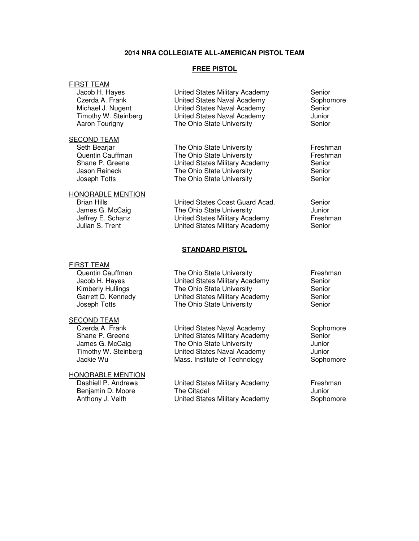### **2014 NRA COLLEGIATE ALL-AMERICAN PISTOL TEAM**

### **FREE PISTOL**

The Ohio State University

### FIRST TEAM

 Jacob H. Hayes United States Military Academy Senior Czerda A. Frank United States Naval Academy Sophomore Michael J. Nugent United States Naval Academy Senior Timothy W. Steinberg **United States Naval Academy** Junior<br>
Aaron Tourigny **The Ohio State University** Senior

### SECOND TEAM

Joseph Totts The Ohio State University Senior

## HONORABLE MENTION

### FIRST TEAM

### SECOND TEAM

# **HONORABLE MENTION**<br>Dashiell P. Andrews

Seth Beariar **The Ohio State University** Freshman Quentin Cauffman The Ohio State University **Freshman**<br>
Shane P. Greene **Frank Contained States Military Academy** Senior United States Military Academy Senior<br>The Ohio State University Senior Jason Reineck The Ohio State University

Brian Hills **States Coast Guard Acad.** Senior Communication Control Coast Guard Acad. Senior Communic<br>
United State University Summit Communication Communication Communication Communication Communication Communic<br>
United S James G. McCaig **The Ohio State University** Sumic and Munior<br>Jeffrey E. Schanz **Junice United States Military Academy** Freshman Jeffrey E. Schanz **United States Military Academy**<br>Julian S. Trent **Frank Communist Communist United States Military Academy** United States Military Academy Senior

### **STANDARD PISTOL**

Quentin Cauffman The Ohio State University Freshman Freshman Jacob H. Hayes United States Military Academy Senior Kimberly Hullings The Ohio State University Senior<br>
Garrett D. Kennedy Contited States Military Academy Senior United States Military Academy Joseph Totts **The Ohio State University** Senior

 Czerda A. Frank United States Naval Academy Sophomore Shane P. Greene **Shane P. Greene** United States Military Academy Senior<br>
James G. McCaig **Shane State University** Sunior The Ohio State University **Junior**  Timothy W. Steinberg United States Naval Academy Junior Jackie Wu **Mass.** Institute of Technology **Sophomore** Sophomore

United States Military Academy Freshman Benjamin D. Moore **The Citadel Container Structure Container Container** Summer Summer Summer Summer Summer Summer Summer Summer Summer Summer Summer Summer Summer Summer Summer Summer Summer Summer Summer Summer Summer S Anthony J. Veith **United States Military Academy** Sophomore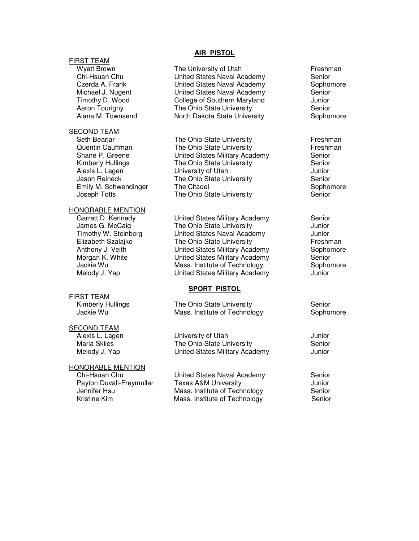### FIRST TEAM

### SECOND TEAM

Alexis L. Lagen University of Utah

### HONORABLE MENTION

FIRST TEAM

### SECOND TEAM

### HONORABLE MENTION

### **AIR PISTOL**

Wyatt Brown **The University of Utah The University of Utah Freshman**<br>
Chi-Hsuan Chu **The United States Naval Academy** Senior United States Naval Academy Czerda A. Frank United States Naval Academy Sophomore Michael J. Nugent **United States Naval Academy** Senior Timothy D. Wood College of Southern Maryland Junior Aaron Tourigny The Ohio State University Senior Alana M. Townsend **North Dakota State University** Sophomore

Seth Bearjar **The Ohio State University** Freshman<br>
Quentin Cauffman The Ohio State University **Freshman** Quentin Cauffman The Ohio State University Shane P. Greene **The United States Military Academy** Senior Kimberly Hullings The Ohio State University **Senior**<br>Alexis L. Lagen **Network** University of Utah Jason Reineck The Ohio State University Senior Emily M. Schwendinger The Citadel Sophomore Sophomore Sophomore Joseph Totts The Ohio State University The Senior

Garrett D. Kennedy **United States Military Academy** Senior James G. McCaig The Ohio State University The Ohio State University Timothy W. Steinberg United States Naval Academy Junior Elizabeth Szalajko **The Ohio State University** Freshman Anthony J. Veith **United States Military Academy** Sophomore Morgan K. White **United States Military Academy** Senior Jackie Wu **Mass.** Institute of Technology **Sophomore** Sophomore Melody J. Yap **Nelody J. Yap** United States Military Academy

### **SPORT PISTOL**

Kimberly Hullings The Ohio State University Senior Jackie Wu **Mass.** Institute of Technology **Sophomore** Sophomore

 Alexis L. Lagen University of Utah Junior Maria Skiles **The Ohio State University** Senior Melody J. Yap United States Military Academy Junior

 Chi-Hsuan Chu United States Naval Academy Senior Payton Duvall-Freymuller Texas A&M University<br>Jennifer Hsu Mass. Institute of Technology Senior Mass. Institute of Technology Senior Kristine Kim **Mass.** Institute of Technology Senior